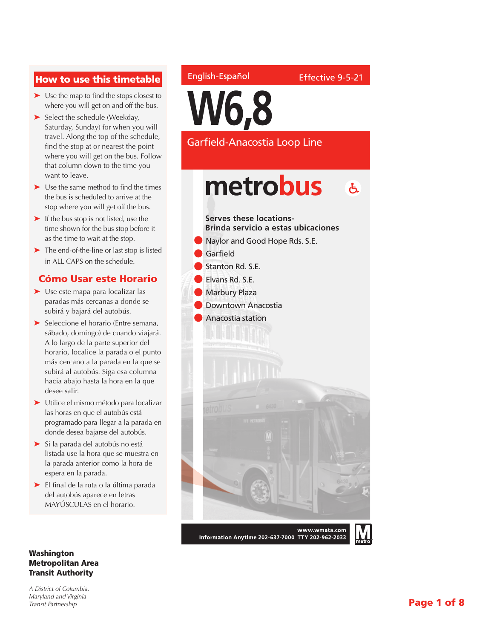#### How to use this timetable

- ➤ Use the map to find the stops closest to where you will get on and off the bus.
- ➤ Select the schedule (Weekday, Saturday, Sunday) for when you will travel. Along the top of the schedule, find the stop at or nearest the point where you will get on the bus. Follow that column down to the time you want to leave.
- ➤ Use the same method to find the times the bus is scheduled to arrive at the stop where you will get off the bus.
- ► If the bus stop is not listed, use the time shown for the bus stop before it as the time to wait at the stop.
- ➤ The end-of-the-line or last stop is listed in ALL CAPS on the schedule.

#### Cómo Usar este Horario

- ➤ Use este mapa para localizar las paradas más cercanas a donde se subirá y bajará del autobús.
- ➤ Seleccione el horario (Entre semana, sábado, domingo) de cuando viajará. A lo largo de la parte superior del horario, localice la parada o el punto más cercano a la parada en la que se subirá al autobús. Siga esa columna hacia abajo hasta la hora en la que desee salir.
- ➤ Utilice el mismo método para localizar las horas en que el autobús está programado para llegar a la parada en donde desea bajarse del autobús.
- ➤ Si la parada del autobús no está listada use la hora que se muestra en la parada anterior como la hora de espera en la parada.
- ➤ El final de la ruta o la última parada del autobús aparece en letras MAYÚSCULAS en el horario.

#### Washington Metropolitan Area Transit Authority

*A District of Columbia, Maryland and Virginia Transit Partnership*

#### English-Español

Effective 9-5-21

**W6,8**

Garfield-Anacostia Loop Line

#### metrobus  $\mathbf{A}$



Information Anytime 202-637-7000 TTY 202-962-2033

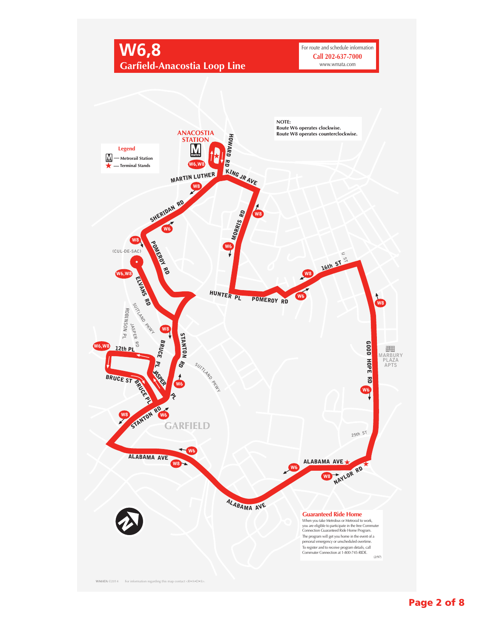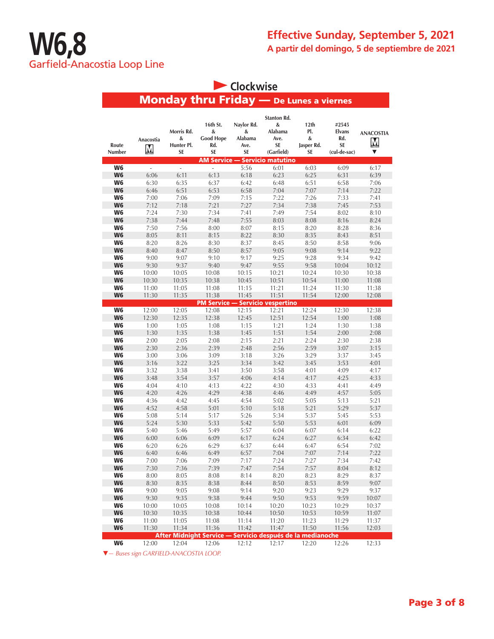| Clockwise            |                |                                     |                                                            |                                          |                                                                |                                      |                                              |                                    |  |  |
|----------------------|----------------|-------------------------------------|------------------------------------------------------------|------------------------------------------|----------------------------------------------------------------|--------------------------------------|----------------------------------------------|------------------------------------|--|--|
|                      |                |                                     | <b>Monday thru Friday - De Lunes a viernes</b>             |                                          |                                                                |                                      |                                              |                                    |  |  |
| Route<br>Number      | Anacostia<br>Μ | Morris Rd.<br>&<br>Hunter Pl.<br>SE | 16th St.<br>&<br><b>Good Hope</b><br>Rd.<br>SE             | Naylor Rd.<br>&<br>Alabama<br>Ave.<br>SE | Stanton Rd.<br>&<br>Alabama<br>Ave.<br><b>SE</b><br>(Garfield) | 12th<br>PI.<br>&<br>Jasper Rd.<br>SE | #2545<br>Elvans<br>Rd.<br>SE<br>(cul-de-sac) | <b>ANACOSTIA</b><br>${\bf M}$<br>▼ |  |  |
|                      |                |                                     | <b>AM Service</b>                                          |                                          | - Servicio matutino                                            |                                      |                                              |                                    |  |  |
| W6                   | $\Box$         | ä,                                  | $\sim$                                                     | 5:56                                     | 6:01                                                           | 6:03                                 | 6:09                                         | 6:17                               |  |  |
| W <sub>6</sub>       | 6:06           | 6:11                                | 6:13                                                       | 6:18                                     | 6:23                                                           | 6:25                                 | 6:31                                         | 6:39                               |  |  |
| W6<br>W <sub>6</sub> | 6:30<br>6:46   | 6:35<br>6:51                        | 6:37<br>6:53                                               | 6:42<br>6:58                             | 6:48<br>7:04                                                   | 6:51<br>7:07                         | 6:58<br>7:14                                 | 7:06<br>7:22                       |  |  |
| W6                   | 7:00           | 7:06                                | 7:09                                                       | 7:15                                     | 7:22                                                           | 7:26                                 | 7:33                                         | 7:41                               |  |  |
| W <sub>6</sub>       | 7:12           | 7:18                                | 7:21                                                       | 7:27                                     | 7:34                                                           | 7:38                                 | 7:45                                         | 7:53                               |  |  |
| W6                   | 7:24           | 7:30                                | 7:34                                                       | 7:41                                     | 7:49                                                           | 7:54                                 | 8:02                                         | 8:10                               |  |  |
| W <sub>6</sub>       | 7:38           | 7:44                                | 7:48                                                       | 7:55                                     | 8:03                                                           | 8:08                                 | 8:16                                         | 8:24                               |  |  |
| W6                   | 7:50           | 7:56                                | 8:00                                                       | 8:07                                     | 8:15                                                           | 8:20                                 | 8:28                                         | 8:36                               |  |  |
| W <sub>6</sub>       | 8:05           | 8:11                                | 8:15                                                       | 8:22                                     | 8:30                                                           | 8:35                                 | 8:43                                         | 8:51                               |  |  |
| W6                   | 8:20           | 8:26                                | 8:30                                                       | 8:37                                     | 8:45                                                           | 8:50                                 | 8:58                                         | 9:06                               |  |  |
| W <sub>6</sub>       | 8:40           | 8:47                                | 8:50                                                       | 8:57                                     | 9:05                                                           | 9:08                                 | 9:14                                         | 9:22                               |  |  |
| W <sub>6</sub>       | 9:00           | 9:07                                | 9:10                                                       | 9:17                                     | 9:25                                                           | 9:28                                 | 9:34                                         | 9:42                               |  |  |
| W <sub>6</sub>       | 9:30           | 9:37                                | 9:40                                                       | 9:47                                     | 9:55                                                           | 9:58                                 | 10:04                                        | 10:12                              |  |  |
| W6                   | 10:00          | 10:05                               | 10:08                                                      | 10:15                                    | 10:21                                                          | 10:24                                | 10:30                                        | 10:38                              |  |  |
| W <sub>6</sub>       | 10:30          | 10:35                               | 10:38                                                      | 10:45                                    | 10:51                                                          | 10:54                                | 11:00                                        | 11:08                              |  |  |
| W6                   | 11:00          | 11:05                               | 11:08                                                      | 11:15                                    | 11:21                                                          | 11:24                                | 11:30                                        | 11:38                              |  |  |
| W <sub>6</sub>       | 11:30          | 11:35                               | 11:38                                                      | 11:45                                    | 11:51                                                          | 11:54                                | 12:00                                        | 12:08                              |  |  |
|                      |                |                                     | <b>PM Service - Servicio vespertino</b>                    |                                          |                                                                |                                      |                                              |                                    |  |  |
| W <sub>6</sub>       | 12:00          | 12:05                               | 12:08                                                      | 12:15                                    | 12:21                                                          | 12:24                                | 12:30                                        | 12:38                              |  |  |
| W <sub>6</sub>       | 12:30          | 12:35                               | 12:38                                                      | 12:45                                    | 12:51                                                          | 12:54                                | 1:00                                         | 1:08                               |  |  |
| W6                   | 1:00           | 1:05                                | 1:08                                                       | 1:15                                     | 1:21                                                           | 1:24                                 | 1:30                                         | 1:38                               |  |  |
| W <sub>6</sub>       | 1:30           | 1:35                                | 1:38                                                       | 1:45                                     | 1:51                                                           | 1:54                                 | 2:00                                         | 2:08                               |  |  |
| W6                   | 2:00           | 2:05                                | 2:08                                                       | 2:15                                     | 2:21                                                           | 2:24                                 | 2:30                                         | 2:38                               |  |  |
| W6                   | 2:30           | 2:36                                | 2:39                                                       | 2:48                                     | 2:56                                                           | 2:59                                 | 3:07                                         | 3:15                               |  |  |
| W6                   | 3:00           | 3:06                                | 3:09                                                       | 3:18                                     | 3:26                                                           | 3:29                                 | 3:37                                         | 3:45                               |  |  |
| W6                   | 3:16           | 3:22                                | 3:25                                                       | 3:34                                     | 3:42                                                           | 3:45                                 | 3:53                                         | 4:01                               |  |  |
| W <sub>6</sub>       | 3:32           | 3:38                                | 3:41                                                       | 3:50                                     | 3:58                                                           | 4:01                                 | 4:09                                         | 4:17                               |  |  |
| W <sub>6</sub>       | 3:48           | 3:54                                | 3:57                                                       | 4:06                                     | 4:14                                                           | 4:17                                 | 4:25                                         | 4:33                               |  |  |
| W6                   | 4:04           | 4:10                                | 4:13                                                       | 4:22                                     | 4:30                                                           | 4:33                                 | 4:41                                         | 4:49                               |  |  |
| W <sub>6</sub>       | 4:20           | 4:26                                | 4:29                                                       | 4:38                                     | 4:46                                                           | 4:49                                 | 4:57                                         | 5:05                               |  |  |
| W6                   | 4:36           | 4:42                                | 4:45                                                       | 4:54                                     | 5:02                                                           | 5:05                                 | 5:13                                         | 5:21                               |  |  |
| W <sub>6</sub>       | 4:52           | 4:58                                | 5:01                                                       | 5:10                                     | 5:18                                                           | 5:21                                 | 5:29                                         | 5:37                               |  |  |
| W6                   | 5:08           | 5:14                                | 5:17                                                       | 5:26                                     | 5:34                                                           | 5:37                                 | 5:45                                         | 5:53                               |  |  |
| W <sub>6</sub>       | 5:24           | 5:30                                | 5:33                                                       | 5:42                                     | 5:50                                                           | 5:53                                 | 6:01                                         | 6:09                               |  |  |
| W6                   | 5:40           | 5:46                                | 5:49                                                       | 5:57                                     | 6:04                                                           | 6:07                                 | 6:14                                         | 6:22                               |  |  |
| W <sub>6</sub>       | 6:00           | 6:06                                | 6:09                                                       | 6:17                                     | 6:24                                                           | 6:27                                 | 6:34                                         | 6:42                               |  |  |
| W6                   | 6:20           | 6:26                                | 6:29                                                       | 6:37                                     | 6:44                                                           | 6:47                                 | 6:54                                         | 7:02                               |  |  |
| W <sub>6</sub>       | 6:40           | 6:46                                | 6:49                                                       | 6:57                                     | 7:04                                                           | 7:07                                 | 7:14                                         | 7:22                               |  |  |
| W6                   | 7:00           | 7:06                                | 7:09                                                       | 7:17                                     | 7:24                                                           | 7:27                                 | 7:34                                         | 7:42                               |  |  |
| W <sub>6</sub>       | 7:30           | 7:36                                | 7:39                                                       | 7:47                                     | 7:54                                                           | 7:57                                 | 8:04                                         | 8:12                               |  |  |
| W6                   | 8:00           | 8:05                                | 8:08                                                       | 8:14                                     | 8:20                                                           | 8:23                                 | 8:29                                         | 8:37                               |  |  |
| W <sub>6</sub><br>W6 | 8:30           | 8:35                                | 8:38                                                       | 8:44                                     | 8:50<br>9:20                                                   | 8:53<br>9:23                         | 8:59<br>9:29                                 | 9:07<br>9:37                       |  |  |
|                      | 9:00           | 9:05                                | 9:08                                                       | 9:14                                     |                                                                |                                      |                                              |                                    |  |  |
| W <sub>6</sub><br>W6 | 9:30           | 9:35                                | 9:38                                                       | 9:44                                     | 9:50<br>10:20                                                  | 9:53<br>10:23                        | 9:59                                         | 10:07                              |  |  |
| W <sub>6</sub>       | 10:00<br>10:30 | 10:05<br>10:35                      | 10:08<br>10:38                                             | 10:14<br>10:44                           | 10:50                                                          | 10:53                                | 10:29<br>10:59                               | 10:37<br>11:07                     |  |  |
| W6                   | 11:00          | 11:05                               | 11:08                                                      | 11:14                                    | 11:20                                                          | 11:23                                | 11:29                                        | 11:37                              |  |  |
| W <sub>6</sub>       | 11:30          | 11:34                               | 11:36                                                      | 11:42                                    | 11:47                                                          | 11:50                                | 11:56                                        | 12:03                              |  |  |
|                      |                |                                     | After Midnight Service — Servicio después de la medianoche |                                          |                                                                |                                      |                                              |                                    |  |  |
| W <sub>6</sub>       | 12:00          | 12:04                               | 12:06                                                      | 12:12                                    | 12:17                                                          | 12:20                                | 12:26                                        | 12:33                              |  |  |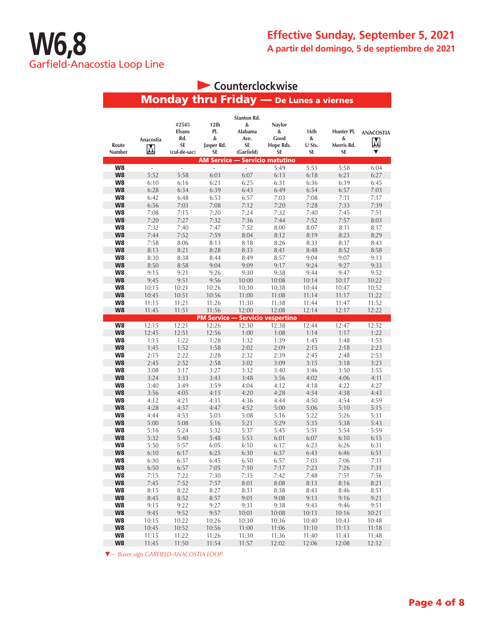|                      |                |                                                     |                                      |                                                                | Counterclockwise                               |                           |                                            |                            |
|----------------------|----------------|-----------------------------------------------------|--------------------------------------|----------------------------------------------------------------|------------------------------------------------|---------------------------|--------------------------------------------|----------------------------|
|                      |                |                                                     |                                      |                                                                | <b>Monday thru Friday</b> - De Lunes a viernes |                           |                                            |                            |
| Route<br>Number      | Anacostia<br>M | #2545<br><b>Elvans</b><br>Rd.<br>SE<br>(cul-de-sac) | 12th<br>PI.<br>&<br>Jasper Rd.<br>SE | <b>Stanton Rd.</b><br>&<br>Alabama<br>Ave.<br>SE<br>(Garfield) | Naylor<br>&<br>Good<br>Hope Rds.<br>SE         | 16th<br>&<br>U Sts.<br>SE | Hunter Pl.<br>&<br>Morris Rd.<br><b>SE</b> | <b>ANACOSTIA</b><br>M<br>▼ |
|                      |                |                                                     |                                      |                                                                | <b>AM Service — Servicio matutino</b>          |                           |                                            |                            |
| W8                   | $\mathbb{Z}$   | $\overline{\phantom{a}}$                            | ÷,                                   | L.                                                             | 5:49                                           | 5:53                      | 5:58                                       | 6:04                       |
| W8<br>W8             | 5:52<br>6:10   | 5:58<br>6:16                                        | 6:03<br>6:21                         | 6:07<br>6:25                                                   | 6:13<br>6:31                                   | 6:18<br>6:36              | 6:21<br>6:39                               | 6:27<br>6:45               |
| W8                   | 6:28           | 6:34                                                | 6:39                                 | 6:43                                                           | 6:49                                           | 6:54                      | 6:57                                       | 7:03                       |
| W8                   | 6:42           | 6:48                                                | 6:53                                 | 6:57                                                           | 7:03                                           | 7:08                      | 7:11                                       | 7:17                       |
| W8                   | 6:56           | 7:03                                                | 7:08                                 | 7:12                                                           | 7:20                                           | 7:28                      | 7:33                                       | 7:39                       |
| W8                   | 7:08           | 7:15                                                | 7:20                                 | 7:24                                                           | 7:32                                           | 7:40                      | 7:45                                       | 7:51                       |
| W8                   | 7:20           | 7:27                                                | 7:32                                 | 7:36                                                           | 7:44                                           | 7:52                      | 7:57                                       | 8:03                       |
| W8                   | 7:32           | 7:40                                                | 7:47                                 | 7:52                                                           | 8:00                                           | 8:07                      | 8:11                                       | 8:17                       |
| W <sub>8</sub>       | 7:44           | 7:52                                                | 7:59                                 | 8:04                                                           | 8:12                                           | 8:19                      | 8:23                                       | 8:29                       |
| W8                   | 7:58           | 8:06                                                | 8:13                                 | 8:18                                                           | 8:26                                           | 8:33                      | 8:37                                       | 8:43                       |
| W <sub>8</sub>       | 8:13           | 8:21                                                | 8:28                                 | 8:33                                                           | 8:41                                           | 8:48                      | 8:52                                       | 8:58                       |
| W8                   | 8:30           | 8:38                                                | 8:44                                 | 8:49                                                           | 8:57                                           | 9:04                      | 9:07                                       | 9:13                       |
| W <sub>8</sub>       | 8:50           | 8:58                                                | 9:04                                 | 9:09                                                           | 9:17                                           | 9:24                      | 9:27                                       | 9:33                       |
| W8                   | 9:15           | 9:21                                                | 9:26                                 | 9:30                                                           | 9:38                                           | 9:44                      | 9:47                                       | 9:52                       |
| W8                   | 9:45           | 9:51                                                | 9:56                                 | 10:00                                                          | 10:08                                          | 10:14                     | 10:17                                      | 10:22                      |
| W8                   | 10:15          | 10:21                                               | 10:26                                | 10:30                                                          | 10:38                                          | 10:44                     | 10:47                                      | 10:52                      |
| W <sub>8</sub>       | 10:45          | 10:51                                               | 10:56                                | 11:00                                                          | 11:08                                          | 11:14                     | 11:17                                      | 11:22                      |
| W8<br>W <sub>8</sub> | 11:15          | 11:21                                               | 11:26                                | 11:30<br>12:00                                                 | 11:38<br>12:08                                 | 11:44<br>12:14            | 11:47<br>12:17                             | 11:52                      |
|                      | 11:45          | 11:51                                               | 11:56<br><b>PM Service -</b>         |                                                                | <b>Servicio vespertino</b>                     |                           |                                            | 12:22                      |
| W8                   | 12:15          | 12:21                                               | 12:26                                | 12:30                                                          | 12:38                                          | 12:44                     | 12:47                                      | 12:52                      |
| W8                   | 12:45          | 12:51                                               | 12:56                                | 1:00                                                           | 1:08                                           | 1:14                      | 1:17                                       | 1:22                       |
| W8                   | 1:15           | 1:22                                                | 1:28                                 | 1:32                                                           | 1:39                                           | 1:45                      | 1:48                                       | 1:53                       |
| W8                   | 1:45           | 1:52                                                | 1:58                                 | 2:02                                                           | 2:09                                           | 2:15                      | 2:18                                       | 2:23                       |
| W8                   | 2:15           | 2:22                                                | 2:28                                 | 2:32                                                           | 2:39                                           | 2:45                      | 2:48                                       | 2:53                       |
| W <sub>8</sub>       | 2:45           | 2:52                                                | 2:58                                 | 3:02                                                           | 3:09                                           | 3:15                      | 3:18                                       | 3:23                       |
| W8                   | 3:08           | 3:17                                                | 3:27                                 | 3:32                                                           | 3:40                                           | 3:46                      | 3:50                                       | 3:55                       |
| W <sub>8</sub>       | 3:24           | 3:33                                                | 3:43                                 | 3:48                                                           | 3:56                                           | 4:02                      | 4:06                                       | 4:11                       |
| W8                   | 3:40           | 3:49                                                | 3:59                                 | 4:04                                                           | 4:12                                           | 4:18                      | 4:22                                       | 4:27                       |
| W <sub>8</sub>       | 3:56           | 4:05                                                | 4:15                                 | 4:20                                                           | 4:28                                           | 4:34                      | 4:38                                       | 4:43                       |
| W8                   | 4:12           | 4:21                                                | 4:31                                 | 4:36                                                           | 4:44                                           | 4:50                      | 4:54                                       | 4:59                       |
| W <sub>8</sub>       | 4:28           | 4:37                                                | 4:47                                 | 4:52                                                           | 5:00                                           | 5:06                      | 5:10                                       | 5:15                       |
| W8<br>W8             | 4:44<br>5:00   | 4:53<br>5:08                                        | 5:03<br>5:16                         | 5:08<br>5:21                                                   | 5:16<br>5:29                                   | 5:22<br>5:35              | 5:26<br>5:38                               | 5:31<br>5:43               |
| W8                   | 5:16           | 5:24                                                | 5:32                                 | 5:37                                                           | 5:45                                           | 5:51                      | 5:54                                       | 5:59                       |
| W8                   | 5:32           | 5:40                                                | 5:48                                 | 5:53                                                           | 6:01                                           | 6:07                      | 6:10                                       | 6:15                       |
| W8                   | 5:50           | 5:57                                                | 6:05                                 | 6:10                                                           | 6:17                                           | 6:23                      | 6:26                                       | 6:31                       |
| W8                   | 6:10           | 6:17                                                | 6:25                                 | 6:30                                                           | 6:37                                           | 6:43                      | 6:46                                       | 6:51                       |
| W8                   | 6:30           | 6:37                                                | 6:45                                 | 6:50                                                           | 6:57                                           | 7:03                      | 7:06                                       | 7:11                       |
| W8                   | 6:50           | 6:57                                                | 7:05                                 | 7:10                                                           | 7:17                                           | 7:23                      | 7:26                                       | 7:31                       |
| W8                   | 7:15           | 7:22                                                | 7:30                                 | 7:35                                                           | 7:42                                           | 7:48                      | 7:51                                       | 7:56                       |
| W8                   | 7:45           | 7:52                                                | 7:57                                 | 8:01                                                           | 8:08                                           | 8:13                      | 8:16                                       | 8:21                       |
| W8                   | 8:15           | 8:22                                                | 8:27                                 | 8:31                                                           | 8:38                                           | 8:43                      | 8:46                                       | 8:51                       |
| W8                   | 8:45           | 8:52                                                | 8:57                                 | 9:01                                                           | 9:08                                           | 9:13                      | 9:16                                       | 9:21                       |
| W8                   | 9:15           | 9:22                                                | 9:27                                 | 9:31                                                           | 9:38                                           | 9:43                      | 9:46                                       | 9:51                       |
| W8                   | 9:45           | 9:52                                                | 9:57                                 | 10:01                                                          | 10:08                                          | 10:13                     | 10:16                                      | 10:21                      |
| W8                   | 10:15          | 10:22                                               | 10:26                                | 10:30                                                          | 10:36                                          | 10:40                     | 10:43                                      | 10:48                      |
| W8<br>W8             | 10:45          | 10:52                                               | 10:56                                | 11:00                                                          | 11:06                                          | 11:10                     | 11:13                                      | 11:18                      |
|                      | 11:15          | 11:22                                               | 11:26                                | 11:30                                                          | 11:36                                          | 11:40                     | 11:43                                      | 11:48                      |

**W8** 11:45 11:50 11:54 11:57 12:02 12:06 12:08 12:12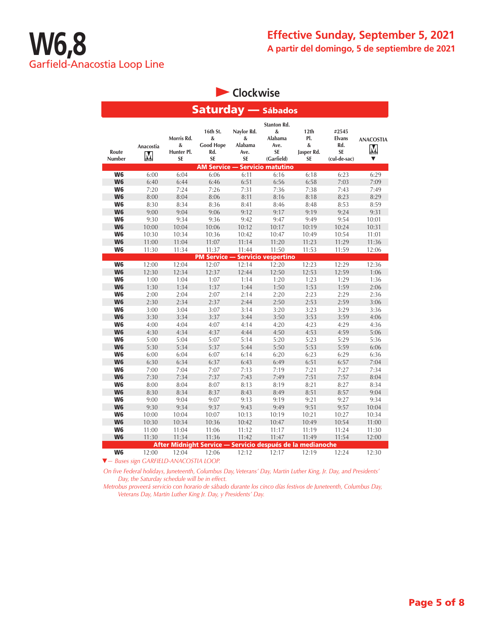**Clockwise** 

| <b>Saturday</b> — Sábados |                |                                            |                                                       |                                                 |                                                                |                                      |                                                            |                                             |  |  |
|---------------------------|----------------|--------------------------------------------|-------------------------------------------------------|-------------------------------------------------|----------------------------------------------------------------|--------------------------------------|------------------------------------------------------------|---------------------------------------------|--|--|
| Route<br>Number           | Anacostia<br>M | Morris Rd.<br>&<br>Hunter Pl.<br><b>SE</b> | 16th St.<br>&<br><b>Good Hope</b><br>Rd.<br><b>SE</b> | Naylor Rd.<br>&<br>Alabama<br>Ave.<br><b>SE</b> | Stanton Rd.<br>&<br>Alabama<br>Ave.<br><b>SE</b><br>(Garfield) | 12th<br>PI.<br>&<br>Jasper Rd.<br>SE | #2545<br><b>Elvans</b><br>Rd.<br><b>SE</b><br>(cul-de-sac) | <b>ANACOSTIA</b><br>M <sub>mstra</sub><br>▼ |  |  |
| W6                        |                | 6:04                                       | <b>AM Service -</b><br>6:06                           |                                                 | <b>Servicio matutino</b>                                       |                                      |                                                            |                                             |  |  |
|                           | 6:00           |                                            |                                                       | 6:11                                            | 6:16                                                           | 6:18                                 | 6:23                                                       | 6:29                                        |  |  |
| W <sub>6</sub>            | 6:40           | 6:44                                       | 6:46                                                  | 6:51                                            | 6:56                                                           | 6:58                                 | 7:03                                                       | 7:09                                        |  |  |
| W <sub>6</sub>            | 7:20           | 7:24                                       | 7:26                                                  | 7:31                                            | 7:36                                                           | 7:38                                 | 7:43                                                       | 7:49                                        |  |  |
| W <sub>6</sub>            | 8:00           | 8:04                                       | 8:06                                                  | 8:11                                            | 8:16                                                           | 8:18                                 | 8:23                                                       | 8:29                                        |  |  |
| W6                        | 8:30           | 8:34                                       | 8:36                                                  | 8:41                                            | 8:46                                                           | 8:48                                 | 8:53                                                       | 8:59                                        |  |  |
| W <sub>6</sub>            | 9:00           | 9:04                                       | 9:06                                                  | 9:12                                            | 9:17                                                           | 9:19                                 | 9:24                                                       | 9:31                                        |  |  |
| W <sub>6</sub>            | 9:30           | 9:34                                       | 9:36                                                  | 9:42                                            | 9:47                                                           | 9:49                                 | 9:54                                                       | 10:01                                       |  |  |
| W <sub>6</sub>            | 10:00          | 10:04                                      | 10:06                                                 | 10:12                                           | 10:17                                                          | 10:19                                | 10:24                                                      | 10:31                                       |  |  |
| W <sub>6</sub>            | 10:30          | 10:34                                      | 10:36                                                 | 10:42                                           | 10:47                                                          | 10:49                                | 10:54                                                      | 11:01                                       |  |  |
| W <sub>6</sub>            | 11:00          | 11:04                                      | 11:07                                                 | 11:14                                           | 11:20                                                          | 11:23                                | 11:29                                                      | 11:36                                       |  |  |
| W <sub>6</sub>            | 11:30          | 11:34                                      | 11:37                                                 | 11:44                                           | 11:50                                                          | 11:53                                | 11:59                                                      | 12:06                                       |  |  |
|                           |                |                                            |                                                       |                                                 | <b>PM Service - Servicio vespertino</b>                        |                                      |                                                            |                                             |  |  |
| W <sub>6</sub>            | 12:00          | 12:04                                      | 12:07                                                 | 12:14                                           | 12:20                                                          | 12:23                                | 12:29                                                      | 12:36                                       |  |  |
| W <sub>6</sub>            | 12:30          | 12:34                                      | 12:37                                                 | 12:44                                           | 12:50                                                          | 12:53                                | 12:59                                                      | 1:06                                        |  |  |
| W <sub>6</sub>            | 1:00           | 1:04                                       | 1:07                                                  | 1:14                                            | 1:20                                                           | 1:23                                 | 1:29                                                       | 1:36                                        |  |  |
| W <sub>6</sub>            | 1:30           | 1:34                                       | 1:37                                                  | 1:44                                            | 1:50                                                           | 1:53                                 | 1:59                                                       | 2:06                                        |  |  |
| W <sub>6</sub>            | 2:00           | 2:04                                       | 2:07                                                  | 2:14                                            | 2:20                                                           | 2:23                                 | 2:29                                                       | 2:36                                        |  |  |
| W <sub>6</sub>            | 2:30           | 2:34                                       | 2:37                                                  | 2:44                                            | 2:50                                                           | 2:53                                 | 2:59                                                       | 3:06                                        |  |  |
| W <sub>6</sub>            | 3:00           | 3:04                                       | 3:07                                                  | 3:14                                            | 3:20                                                           | 3:23                                 | 3:29                                                       | 3:36                                        |  |  |
| W <sub>6</sub>            | 3:30           | 3:34                                       | 3:37                                                  | 3:44                                            | 3:50                                                           | 3:53                                 | 3:59                                                       | 4:06                                        |  |  |
| W <sub>6</sub>            | 4:00           | 4:04                                       | 4:07                                                  | 4:14                                            | 4:20                                                           | 4:23                                 | 4:29                                                       | 4:36                                        |  |  |
| W <sub>6</sub>            | 4:30           | 4:34                                       | 4:37                                                  | 4:44                                            | 4:50                                                           | 4:53                                 | 4:59                                                       | 5:06                                        |  |  |
| W <sub>6</sub>            | 5:00           | 5:04                                       | 5:07                                                  | 5:14                                            | 5:20                                                           | 5:23                                 | 5:29                                                       | 5:36                                        |  |  |
| W <sub>6</sub>            | 5:30           | 5:34                                       | 5:37                                                  | 5:44                                            | 5:50                                                           | 5:53                                 | 5:59                                                       | 6:06                                        |  |  |
| W6                        | 6:00           | 6:04                                       | 6:07                                                  | 6:14                                            | 6:20                                                           | 6:23                                 | 6:29                                                       | 6:36                                        |  |  |
| W <sub>6</sub>            | 6:30           | 6:34                                       | 6:37                                                  | 6:43                                            | 6:49                                                           | 6:51                                 | 6:57                                                       | 7:04                                        |  |  |
| W <sub>6</sub>            | 7:00           | 7:04                                       | 7:07                                                  | 7:13                                            | 7:19                                                           | 7:21                                 | 7:27                                                       | 7:34                                        |  |  |
| W <sub>6</sub>            | 7:30           | 7:34                                       | 7:37                                                  | 7:43                                            | 7:49                                                           | 7:51                                 | 7:57                                                       | 8:04                                        |  |  |
| W6                        | 8:00           | 8:04                                       | 8:07                                                  | 8:13                                            | 8:19                                                           | 8:21                                 | 8:27                                                       | 8:34                                        |  |  |
| W <sub>6</sub>            | 8:30           | 8:34                                       | 8:37                                                  | 8:43                                            | 8:49                                                           | 8:51                                 | 8:57                                                       | 9:04                                        |  |  |
| W <sub>6</sub>            | 9:00           | 9:04                                       | 9:07                                                  | 9:13                                            | 9:19                                                           | 9:21                                 | 9:27                                                       | 9:34                                        |  |  |
| W <sub>6</sub>            | 9:30           | 9:34                                       | 9:37                                                  | 9:43                                            | 9:49                                                           | 9:51                                 | 9:57                                                       | 10:04                                       |  |  |
| W <sub>6</sub>            | 10:00          | 10:04                                      | 10:07                                                 | 10:13                                           | 10:19                                                          | 10:21                                | 10:27                                                      | 10:34                                       |  |  |
| W <sub>6</sub>            | 10:30          | 10:34                                      | 10:36                                                 | 10:42                                           | 10:47                                                          | 10:49                                | 10:54                                                      | 11:00                                       |  |  |
| W <sub>6</sub>            | 11:00          | 11:04                                      | 11:06                                                 | 11:12                                           | 11:17                                                          | 11:19                                | 11:24                                                      | 11:30                                       |  |  |
| W <sub>6</sub>            | 11:30          | 11:34                                      | 11:36                                                 | 11:42                                           | 11:47                                                          | 11:49                                | 11:54                                                      | 12:00                                       |  |  |
|                           |                |                                            |                                                       |                                                 | After Midnight Service — Servicio después de la medianoche     |                                      |                                                            |                                             |  |  |
| W <sub>6</sub>            | 12:00          | 12:04                                      | 12:06                                                 | 12:12                                           | 12:17                                                          | 12:19                                | 12:24                                                      | 12:30                                       |  |  |
|                           |                | V - Buses sign GARFIELD-ANACOSTIA LOOP.    |                                                       |                                                 |                                                                |                                      |                                                            |                                             |  |  |

*On five Federal holidays, Juneteenth, Columbus Day, Veterans' Day, Martin Luther King, Jr. Day, and Presidents' Day, the Saturday schedule will be in effect.*

*Metrobus proveerá servicio con horario de sábado durante los cinco días festivos de Juneteenth, Columbus Day, Veterans Day, Martin Luther King Jr. Day, y Presidents' Day.*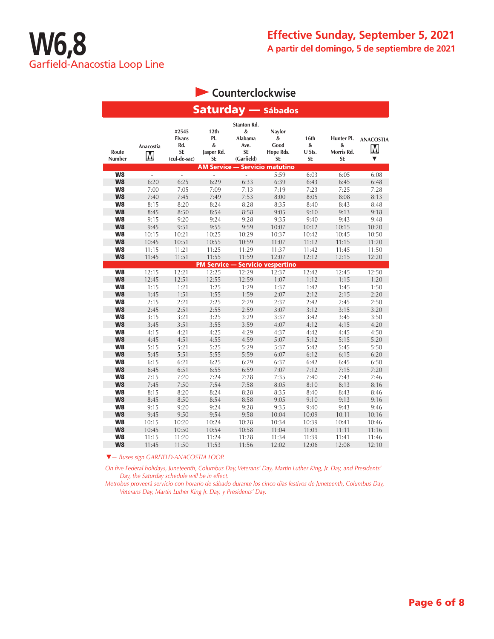### **Counterclockwise**

| <b>Saturday</b> — Sábados |                |                                                     |                                      |                                                                |                                               |                                  |                                            |                                       |  |  |
|---------------------------|----------------|-----------------------------------------------------|--------------------------------------|----------------------------------------------------------------|-----------------------------------------------|----------------------------------|--------------------------------------------|---------------------------------------|--|--|
| Route<br>Number           | Anacostia<br>M | #2545<br><b>Elvans</b><br>Rd.<br>SE<br>(cul-de-sac) | 12th<br>PI.<br>&<br>Jasper Rd.<br>SE | <b>Stanton Rd.</b><br>&<br>Alabama<br>Ave.<br>SE<br>(Garfield) | Naylor<br>&<br>Good<br>Hope Rds.<br><b>SE</b> | 16th<br>&<br>U Sts.<br><b>SE</b> | Hunter Pl.<br>&<br>Morris Rd.<br><b>SE</b> | <b>ANACOSTIA</b><br>$\mathbf{M}$<br>▼ |  |  |
|                           |                |                                                     |                                      |                                                                | <b>AM Service - Servicio matutino</b>         |                                  |                                            |                                       |  |  |
| W8                        | $\omega$       | ä,                                                  | ÷,                                   | $\overline{a}$                                                 | 5:59                                          | 6:03                             | 6:05                                       | 6:08                                  |  |  |
| W8                        | 6:20           | 6:25                                                | 6:29                                 | 6:33                                                           | 6:39                                          | 6:43                             | 6:45                                       | 6:48                                  |  |  |
| W8                        | 7:00           | 7:05                                                | 7:09                                 | 7:13                                                           | 7:19                                          | 7:23                             | 7:25                                       | 7:28                                  |  |  |
| W8                        | 7:40           | 7:45                                                | 7:49                                 | 7:53                                                           | 8:00                                          | 8:05                             | 8:08                                       | 8:13                                  |  |  |
| W8                        | 8:15           | 8:20                                                | 8:24                                 | 8:28                                                           | 8:35                                          | 8:40                             | 8:43                                       | 8:48                                  |  |  |
| W8                        | 8:45           | 8:50                                                | 8:54                                 | 8:58                                                           | 9:05                                          | 9:10                             | 9:13                                       | 9:18                                  |  |  |
| W8                        | 9:15           | 9:20                                                | 9:24                                 | 9:28                                                           | 9:35                                          | 9:40                             | 9:43                                       | 9:48                                  |  |  |
| W8                        | 9:45           | 9:51                                                | 9:55                                 | 9:59                                                           | 10:07                                         | 10:12                            | 10:15                                      | 10:20                                 |  |  |
| W8                        | 10:15          | 10:21                                               | 10:25                                | 10:29                                                          | 10:37                                         | 10:42                            | 10:45                                      | 10:50                                 |  |  |
| W8                        | 10:45          | 10:51                                               | 10:55                                | 10:59                                                          | 11:07                                         | 11:12                            | 11:15                                      | 11:20                                 |  |  |
| W8                        | 11:15          | 11:21                                               | 11:25                                | 11:29                                                          | 11:37                                         | 11:42                            | 11:45                                      | 11:50                                 |  |  |
| W8                        | 11:45          | 11:51                                               | 11:55                                | 11:59                                                          | 12:07                                         | 12:12                            | 12:15                                      | 12:20                                 |  |  |
|                           |                |                                                     | <b>PM Service -</b>                  |                                                                | - Servicio vespertino                         |                                  |                                            |                                       |  |  |
| W <sub>8</sub>            | 12:15          | 12:21                                               | 12:25                                | 12:29                                                          | 12:37                                         | 12:42                            | 12:45                                      | 12:50                                 |  |  |
| W8                        | 12:45          | 12:51                                               | 12:55                                | 12:59                                                          | 1:07                                          | 1:12                             | 1:15                                       | 1:20                                  |  |  |
| W8                        | 1:15           | 1:21                                                | 1:25                                 | 1:29                                                           | 1:37                                          | 1:42                             | 1:45                                       | 1:50                                  |  |  |
| W8                        | 1:45           | 1:51                                                | 1:55                                 | 1:59                                                           | 2:07                                          | 2:12                             | 2:15                                       | 2:20                                  |  |  |
| W8                        | 2:15           | 2:21                                                | 2:25                                 | 2:29                                                           | 2:37                                          | 2:42                             | 2:45                                       | 2:50                                  |  |  |
| W8                        | 2:45           | 2:51                                                | 2:55                                 | 2:59                                                           | 3:07                                          | 3:12                             | 3:15                                       | 3:20                                  |  |  |
| W8                        | 3:15           | 3:21                                                | 3:25                                 | 3:29                                                           | 3:37                                          | 3:42                             | 3:45                                       | 3:50                                  |  |  |
| W8                        | 3:45           | 3:51                                                | 3:55                                 | 3:59                                                           | 4:07                                          | 4:12                             | 4:15                                       | 4:20                                  |  |  |
| W8                        | 4:15           | 4:21                                                | 4:25                                 | 4:29                                                           | 4:37                                          | 4:42                             | 4:45                                       | 4:50                                  |  |  |
| W8                        | 4:45           | 4:51                                                | 4:55                                 | 4:59                                                           | 5:07                                          | 5:12                             | 5:15                                       | 5:20                                  |  |  |
| W8                        | 5:15           | 5:21                                                | 5:25                                 | 5:29                                                           | 5:37                                          | 5:42                             | 5:45                                       | 5:50                                  |  |  |
| W8                        | 5:45           | 5:51                                                | 5:55                                 | 5:59                                                           | 6:07                                          | 6:12                             | 6:15                                       | 6:20                                  |  |  |
| W8                        | 6:15           | 6:21                                                | 6:25                                 | 6:29                                                           | 6:37                                          | 6:42                             | 6:45                                       | 6:50                                  |  |  |
| W8                        | 6:45           | 6:51                                                | 6:55                                 | 6:59                                                           | 7:07                                          | 7:12                             | 7:15                                       | 7:20                                  |  |  |
| W8                        | 7:15           | 7:20                                                | 7:24                                 | 7:28                                                           | 7:35                                          | 7:40                             | 7:43                                       | 7:46                                  |  |  |
| W8                        | 7:45           | 7:50                                                | 7:54                                 | 7:58                                                           | 8:05                                          | 8:10                             | 8:13                                       | 8:16                                  |  |  |
| W8                        | 8:15           | 8:20                                                | 8:24                                 | 8:28                                                           | 8:35                                          | 8:40                             | 8:43                                       | 8:46                                  |  |  |
| W8                        | 8:45           | 8:50                                                | 8:54                                 | 8:58                                                           | 9:05                                          | 9:10                             | 9:13                                       | 9:16                                  |  |  |
| W8                        | 9:15           | 9:20                                                | 9:24                                 | 9:28                                                           | 9:35                                          | 9:40                             | 9:43                                       | 9:46                                  |  |  |
| W8                        | 9:45           | 9:50                                                | 9:54                                 | 9:58                                                           | 10:04                                         | 10:09                            | 10:11                                      | 10:16                                 |  |  |
| W8                        | 10:15          | 10:20                                               | 10:24                                | 10:28                                                          | 10:34                                         | 10:39                            | 10:41                                      | 10:46                                 |  |  |
| W <sub>8</sub>            | 10:45          | 10:50                                               | 10:54                                | 10:58                                                          | 11:04                                         | 11:09                            | 11:11                                      | 11:16                                 |  |  |
| W8                        | 11:15          | 11:20                                               | 11:24                                | 11:28                                                          | 11:34                                         | 11:39                            | 11:41                                      | 11:46                                 |  |  |
| W8                        | 11:45          | 11:50                                               | 11:53                                | 11:56                                                          | 12:02                                         | 12:06                            | 12:08                                      | 12:10                                 |  |  |

▼*— Buses sign GARFIELD-ANACOSTIA LOOP.* 

*On five Federal holidays, Juneteenth, Columbus Day, Veterans' Day, Martin Luther King, Jr. Day, and Presidents' Day, the Saturday schedule will be in effect.*

*Metrobus proveerá servicio con horario de sábado durante los cinco días festivos de Juneteenth, Columbus Day, Veterans Day, Martin Luther King Jr. Day, y Presidents' Day.*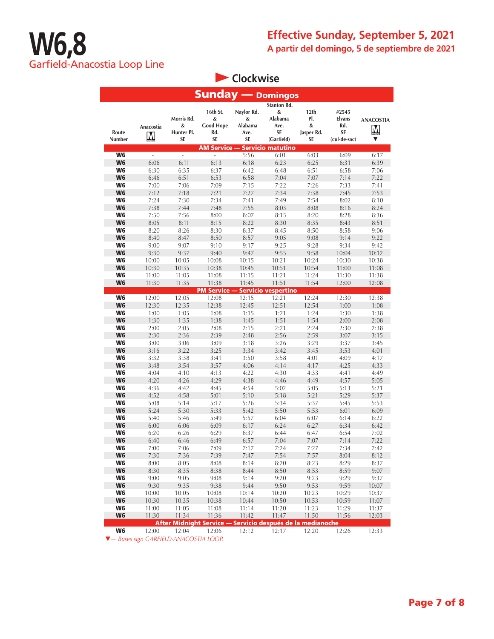**Clockwise** 

| <b>Sunday</b> — Domingos         |                          |                                            |                                                            |                                          |                                                                |                                      |                                                     |                                   |  |
|----------------------------------|--------------------------|--------------------------------------------|------------------------------------------------------------|------------------------------------------|----------------------------------------------------------------|--------------------------------------|-----------------------------------------------------|-----------------------------------|--|
| Route<br>Number                  | Anacostia<br>M           | Morris Rd.<br>&<br>Hunter Pl.<br><b>SE</b> | 16th St.<br>&<br><b>Good Hope</b><br>Rd.<br>SE             | Naylor Rd.<br>&<br>Alabama<br>Ave.<br>SE | <b>Stanton Rd.</b><br>&<br>Alabama<br>Ave.<br>SE<br>(Garfield) | 12th<br>PI.<br>&<br>Jasper Rd.<br>SE | #2545<br><b>Elvans</b><br>Rd.<br>SE<br>(cul-de-sac) | <b>ANACOSTIA</b><br>$\bf{M}$<br>▼ |  |
|                                  |                          |                                            |                                                            |                                          | <b>AM Service - Servicio matutino</b>                          |                                      |                                                     |                                   |  |
| W <sub>6</sub>                   | $\overline{\phantom{a}}$ | $\frac{1}{2}$                              | $\overline{\phantom{a}}$                                   | 5:56                                     | 6:01                                                           | 6:03                                 | 6:09                                                | 6:17                              |  |
| W <sub>6</sub>                   | 6:06                     | 6:11                                       | 6:13                                                       | 6:18                                     | 6:23                                                           | 6:25                                 | 6:31                                                | 6:39                              |  |
| W <sub>6</sub>                   | 6:30                     | 6:35                                       | 6:37                                                       | 6:42                                     | 6:48                                                           | 6:51                                 | 6:58                                                | 7:06                              |  |
| W <sub>6</sub>                   | 6:46                     | 6:51                                       | 6:53                                                       | 6:58                                     | 7:04                                                           | 7:07                                 | 7:14                                                | 7:22                              |  |
| W6                               | 7:00                     | 7:06                                       | 7:09                                                       | 7:15                                     | 7:22                                                           | 7:26                                 | 7:33                                                | 7:41                              |  |
| W <sub>6</sub>                   | 7:12                     | 7:18                                       | 7:21                                                       | 7:27                                     | 7:34                                                           | 7:38                                 | 7:45                                                | 7:53                              |  |
| W6                               | 7:24                     | 7:30                                       | 7:34                                                       | 7:41                                     | 7:49                                                           | 7:54                                 | 8:02                                                | 8:10                              |  |
| W <sub>6</sub>                   | 7:38                     | 7:44                                       | 7:48                                                       | 7:55                                     | 8:03                                                           | 8:08                                 | 8:16                                                | 8:24                              |  |
| W6<br>W <sub>6</sub>             | 7:50<br>8:05             | 7:56<br>8:11                               | 8:00<br>8:15                                               | 8:07                                     | 8:15<br>8:30                                                   | 8:20<br>8:35                         | 8:28                                                | 8:36<br>8:51                      |  |
| W6                               | 8:20                     | 8:26                                       | 8:30                                                       | 8:22<br>8:37                             | 8:45                                                           | 8:50                                 | 8:43<br>8:58                                        | 9:06                              |  |
| W <sub>6</sub>                   | 8:40                     | 8:47                                       | 8:50                                                       | 8:57                                     | 9:05                                                           | 9:08                                 | 9:14                                                | 9:22                              |  |
| W6                               | 9:00                     | 9:07                                       | 9:10                                                       | 9:17                                     | 9:25                                                           | 9:28                                 | 9:34                                                | 9:42                              |  |
| W <sub>6</sub>                   | 9:30                     | 9:37                                       | 9:40                                                       | 9:47                                     | 9:55                                                           | 9:58                                 | 10:04                                               | 10:12                             |  |
| W6                               | 10:00                    | 10:05                                      | 10:08                                                      | 10:15                                    | 10:21                                                          | 10:24                                | 10:30                                               | 10:38                             |  |
| W <sub>6</sub>                   | 10:30                    | 10:35                                      | 10:38                                                      | 10:45                                    | 10:51                                                          | 10:54                                | 11:00                                               | 11:08                             |  |
| W6                               | 11:00                    | 11:05                                      | 11:08                                                      | 11:15                                    | 11:21                                                          | 11:24                                | 11:30                                               | 11:38                             |  |
| W <sub>6</sub>                   | 11:30                    | 11:35                                      | 11:38                                                      | 11:45                                    | 11:51                                                          | 11:54                                | 12:00                                               | 12:08                             |  |
|                                  |                          |                                            | PM Service –                                               |                                          | Servicio vespertino                                            |                                      |                                                     |                                   |  |
| W <sub>6</sub>                   | 12:00                    | 12:05                                      | 12:08                                                      | 12:15                                    | 12:21                                                          | 12:24                                | 12:30                                               | 12:38                             |  |
| W <sub>6</sub>                   | 12:30                    | 12:35                                      | 12:38                                                      | 12:45                                    | 12:51                                                          | 12:54                                | 1:00                                                | 1:08                              |  |
| W6                               | 1:00                     | 1:05                                       | 1:08                                                       | 1:15                                     | 1:21                                                           | 1:24                                 | 1:30                                                | 1:38                              |  |
| W <sub>6</sub>                   | 1:30                     | 1:35                                       | 1:38                                                       | 1:45                                     | 1:51                                                           | 1:54                                 | 2:00                                                | 2:08                              |  |
| W6                               | 2:00                     | 2:05                                       | 2:08                                                       | 2:15                                     | 2:21                                                           | 2:24                                 | 2:30                                                | 2:38                              |  |
| W <sub>6</sub><br>W <sub>6</sub> | 2:30<br>3:00             | 2:36                                       | 2:39                                                       | 2:48<br>3:18                             | 2:56<br>3:26                                                   | 2:59<br>3:29                         | 3:07<br>3:37                                        | 3:15                              |  |
| W <sub>6</sub>                   | 3:16                     | 3:06<br>3:22                               | 3:09<br>3:25                                               | 3:34                                     | 3:42                                                           | 3:45                                 | 3:53                                                | 3:45<br>4:01                      |  |
| W6                               | 3:32                     | 3:38                                       | 3:41                                                       | 3:50                                     | 3:58                                                           | 4:01                                 | 4:09                                                | 4:17                              |  |
| W <sub>6</sub>                   | 3:48                     | 3:54                                       | 3:57                                                       | 4:06                                     | 4:14                                                           | 4:17                                 | 4:25                                                | 4:33                              |  |
| W6                               | 4:04                     | 4:10                                       | 4:13                                                       | 4:22                                     | 4:30                                                           | 4:33                                 | 4:41                                                | 4:49                              |  |
| W <sub>6</sub>                   | 4:20                     | 4:26                                       | 4:29                                                       | 4:38                                     | 4:46                                                           | 4:49                                 | 4:57                                                | 5:05                              |  |
| W6                               | 4:36                     | 4:42                                       | 4:45                                                       | 4:54                                     | 5:02                                                           | 5:05                                 | 5:13                                                | 5:21                              |  |
| W6                               | 4:52                     | 4:58                                       | 5:01                                                       | 5:10                                     | 5:18                                                           | 5:21                                 | 5:29                                                | 5:37                              |  |
| W6                               | 5:08                     | 5:14                                       | 5:17                                                       | 5:26                                     | 5:34                                                           | 5:37                                 | 5:45                                                | 5:53                              |  |
| W <sub>6</sub>                   | 5:24                     | 5:30                                       | 5:33                                                       | 5:42                                     | 5:50                                                           | 5:53                                 | 6:01                                                | 6:09                              |  |
| W6                               | 5:40                     | 5:46                                       | 5:49                                                       | 5:57                                     | 6:04                                                           | 6:07                                 | 6:14                                                | 6:22                              |  |
| W <sub>6</sub>                   | 6:00                     | 6:06                                       | 6:09                                                       | 6:17                                     | 6:24                                                           | 6:27                                 | 6:34                                                | 6:42                              |  |
| W6                               | 6:20                     | 6:26                                       | 6:29                                                       | 6:37                                     | 6:44                                                           | 6:47                                 | 6:54                                                | 7:02                              |  |
| W <sub>6</sub>                   | 6:40                     | 6:46                                       | 6:49<br>7:09                                               | 6:57                                     | 7:04                                                           | 7:07                                 | 7:14                                                | 7:22                              |  |
| W6<br>W <sub>6</sub>             | 7:00<br>7:30             | 7:06<br>7:36                               | 7:39                                                       | 7:17<br>7:47                             | 7:24<br>7:54                                                   | 7:27<br>7:57                         | 7:34<br>8:04                                        | 7:42<br>8:12                      |  |
| W6                               | 8:00                     | 8:05                                       | 8:08                                                       | 8:14                                     | 8:20                                                           | 8:23                                 | 8:29                                                | 8:37                              |  |
| W <sub>6</sub>                   | 8:30                     | 8:35                                       | 8:38                                                       | 8:44                                     | 8:50                                                           | 8:53                                 | 8:59                                                | 9:07                              |  |
| W6                               | 9:00                     | 9:05                                       | 9:08                                                       | 9:14                                     | 9:20                                                           | 9:23                                 | 9:29                                                | 9:37                              |  |
| W <sub>6</sub>                   | 9:30                     | 9:35                                       | 9:38                                                       | 9:44                                     | 9:50                                                           | 9:53                                 | 9:59                                                | 10:07                             |  |
| W6                               | 10:00                    | 10:05                                      | 10:08                                                      | 10:14                                    | 10:20                                                          | 10:23                                | 10:29                                               | 10:37                             |  |
| W <sub>6</sub>                   | 10:30                    | 10:35                                      | 10:38                                                      | 10:44                                    | 10:50                                                          | 10:53                                | 10:59                                               | 11:07                             |  |
| W6                               | 11:00                    | 11:05                                      | 11:08                                                      | 11:14                                    | 11:20                                                          | 11:23                                | 11:29                                               | 11:37                             |  |
| W <sub>6</sub>                   | 11:30                    | 11:34                                      | 11:36                                                      | 11:42                                    | 11:47                                                          | 11:50                                | 11:56                                               | 12:03                             |  |
|                                  |                          |                                            | After Midnight Service — Servicio después de la medianoche |                                          |                                                                |                                      |                                                     |                                   |  |
| W <sub>6</sub>                   | 12:00                    | 12:04                                      | 12:06                                                      | 12:12                                    | 12:17                                                          | 12:20                                | 12:26                                               | 12:33                             |  |